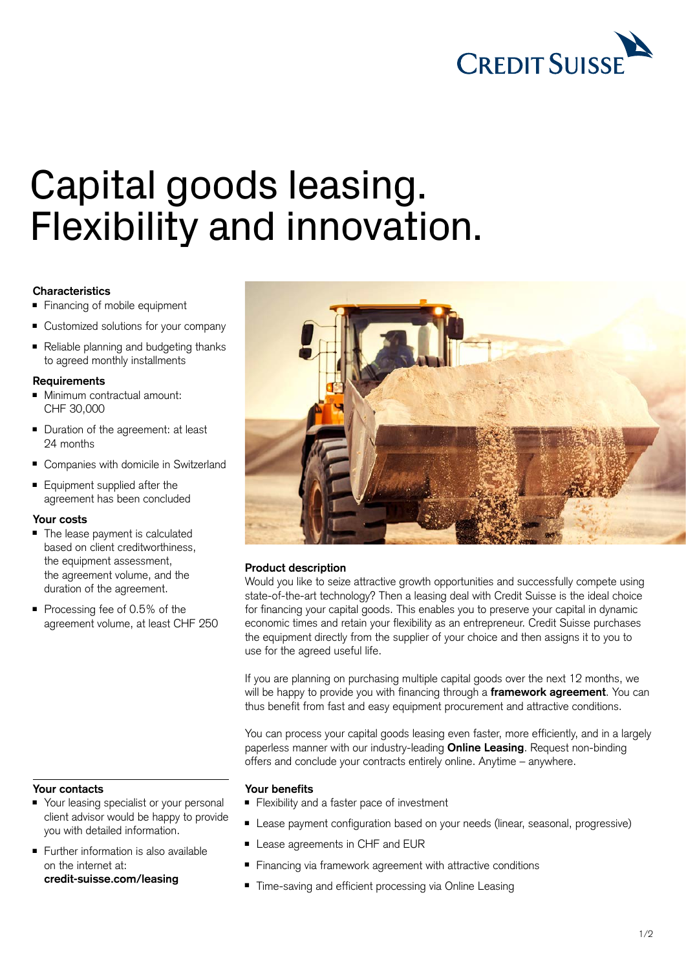

# Capital goods leasing. Flexibility and innovation.

## **Characteristics**

- Financing of mobile equipment
- Customized solutions for your company
- Reliable planning and budgeting thanks to agreed monthly installments

#### **Requirements**

- Minimum contractual amount: CHF 30,000
- Duration of the agreement: at least 24 months
- Companies with domicile in Switzerland
- Equipment supplied after the agreement has been concluded

## **Your costs**

- The lease payment is calculated based on client creditworthiness, the equipment assessment, the agreement volume, and the duration of the agreement.
- Processing fee of 0.5% of the agreement volume, at least CHF 250

#### **Your contacts**

- Your leasing specialist or your personal client advisor would be happy to provide you with detailed information.
- Further information is also available on the internet at: **[credit-suisse.com/leasing](https://www.credit-suisse.com/ch/en/unternehmen/kmugrossunternehmen/finanzierung/leasing.html)**



## **Product description**

Would you like to seize attractive growth opportunities and successfully compete using state-of-the-art technology? Then a leasing deal with Credit Suisse is the ideal choice for financing your capital goods. This enables you to preserve your capital in dynamic economic times and retain your flexibility as an entrepreneur. Credit Suisse purchases the equipment directly from the supplier of your choice and then assigns it to you to use for the agreed useful life.

If you are planning on purchasing multiple capital goods over the next 12 months, we will be happy to provide you with financing through a **framework agreement**. You can thus benefit from fast and easy equipment procurement and attractive conditions.

You can process your capital goods leasing even faster, more efficiently, and in a largely paperless manner with our industry-leading **Online Leasing**. Request non-binding offers and conclude your contracts entirely online. Anytime – anywhere.

#### **Your benefits**

- Flexibility and a faster pace of investment
- Lease payment configuration based on your needs (linear, seasonal, progressive)
- Lease agreements in CHF and EUR
- Financing via framework agreement with attractive conditions
- Time-saving and efficient processing via Online Leasing